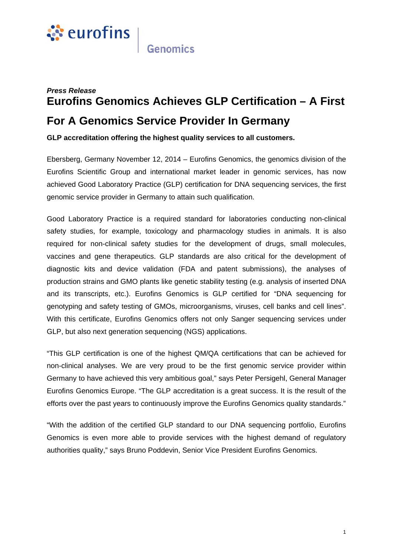

## *Press Release* **Eurofins Genomics Achieves GLP Certification – A First For A Genomics Service Provider In Germany**

**GLP accreditation offering the highest quality services to all customers.** 

Ebersberg, Germany November 12, 2014 – Eurofins Genomics, the genomics division of the Eurofins Scientific Group and international market leader in genomic services, has now achieved Good Laboratory Practice (GLP) certification for DNA sequencing services, the first genomic service provider in Germany to attain such qualification.

Good Laboratory Practice is a required standard for laboratories conducting non-clinical safety studies, for example, toxicology and pharmacology studies in animals. It is also required for non-clinical safety studies for the development of drugs, small molecules, vaccines and gene therapeutics. GLP standards are also critical for the development of diagnostic kits and device validation (FDA and patent submissions), the analyses of production strains and GMO plants like genetic stability testing (e.g. analysis of inserted DNA and its transcripts, etc.). Eurofins Genomics is GLP certified for "DNA sequencing for genotyping and safety testing of GMOs, microorganisms, viruses, cell banks and cell lines". With this certificate, Eurofins Genomics offers not only Sanger sequencing services under GLP, but also next generation sequencing (NGS) applications.

"This GLP certification is one of the highest QM/QA certifications that can be achieved for non-clinical analyses. We are very proud to be the first genomic service provider within Germany to have achieved this very ambitious goal," says Peter Persigehl, General Manager Eurofins Genomics Europe. "The GLP accreditation is a great success. It is the result of the efforts over the past years to continuously improve the Eurofins Genomics quality standards."

"With the addition of the certified GLP standard to our DNA sequencing portfolio, Eurofins Genomics is even more able to provide services with the highest demand of regulatory authorities quality," says Bruno Poddevin, Senior Vice President Eurofins Genomics.